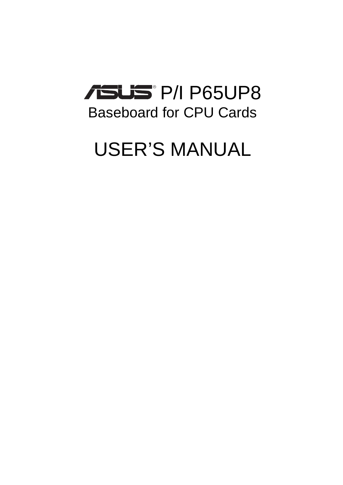

# USER'S MANUAL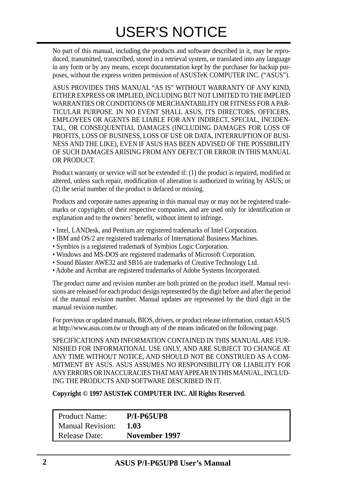No part of this manual, including the products and software described in it, may be reproduced, transmitted, transcribed, stored in a retrieval system, or translated into any language in any form or by any means, except documentation kept by the purchaser for backup purposes, without the express written permission of ASUSTeK COMPUTER INC. ("ASUS").

ASUS PROVIDES THIS MANUAL "AS IS" WITHOUT WARRANTY OF ANY KIND, EITHER EXPRESS OR IMPLIED, INCLUDING BUT NOT LIMITED TO THE IMPLIED WARRANTIES OR CONDITIONS OF MERCHANTABILITY OR FITNESS FOR A PAR-TICULAR PURPOSE. IN NO EVENT SHALL ASUS, ITS DIRECTORS, OFFICERS, EMPLOYEES OR AGENTS BE LIABLE FOR ANY INDIRECT, SPECIAL, INCIDEN-TAL, OR CONSEQUENTIAL DAMAGES (INCLUDING DAMAGES FOR LOSS OF PROFITS, LOSS OF BUSINESS, LOSS OF USE OR DATA, INTERRUPTION OF BUSI-NESS AND THE LIKE), EVEN IF ASUS HAS BEEN ADVISED OF THE POSSIBILITY OF SUCH DAMAGES ARISING FROM ANY DEFECT OR ERROR IN THIS MANUAL OR PRODUCT.

Product warranty or service will not be extended if: (1) the product is repaired, modified or altered, unless such repair, modification of alteration is authorized in writing by ASUS; or (2) the serial number of the product is defaced or missing.

Products and corporate names appearing in this manual may or may not be registered trademarks or copyrights of their respective companies, and are used only for identification or explanation and to the owners' benefit, without intent to infringe.

- Intel, LANDesk, and Pentium are registered trademarks of Intel Corporation.
- IBM and OS/2 are registered trademarks of International Business Machines.
- Symbios is a registered trademark of Symbios Logic Corporation.
- Windows and MS-DOS are registered trademarks of Microsoft Corporation.
- Sound Blaster AWE32 and SB16 are trademarks of Creative Technology Ltd.
- Adobe and Acrobat are registered trademarks of Adobe Systems Incorporated.

The product name and revision number are both printed on the product itself. Manual revisions are released for each product design represented by the digit before and after the period of the manual revision number. Manual updates are represented by the third digit in the manual revision number.

For previous or updated manuals, BIOS, drivers, or product release information, contact ASUS at http://www.asus.com.tw or through any of the means indicated on the following page.

SPECIFICATIONS AND INFORMATION CONTAINED IN THIS MANUAL ARE FUR-NISHED FOR INFORMATIONAL USE ONLY, AND ARE SUBJECT TO CHANGE AT ANY TIME WITHOUT NOTICE, AND SHOULD NOT BE CONSTRUED AS A COM-MITMENT BY ASUS. ASUS ASSUMES NO RESPONSIBILITY OR LIABILITY FOR ANY ERRORS OR INACCURACIES THAT MAY APPEAR IN THIS MANUAL, INCLUD-ING THE PRODUCTS AND SOFTWARE DESCRIBED IN IT.

**Copyright © 1997 ASUSTeK COMPUTER INC. All Rights Reserved.**

| <b>Product Name:</b>    | <b>P/I-P65UP8</b> |
|-------------------------|-------------------|
| <b>Manual Revision:</b> | 1.03              |
| Release Date:           | November 1997     |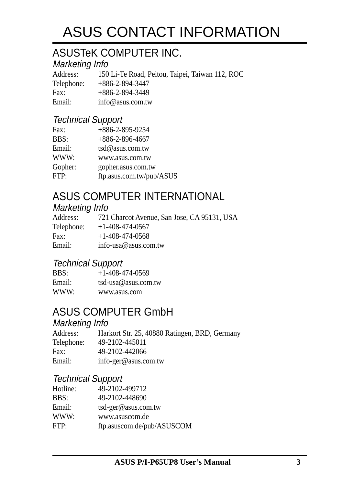# ASUS CONTACT INFORMATION

### ASUSTeK COMPUTER INC.

### Marketing Info

Address: 150 Li-Te Road, Peitou, Taipei, Taiwan 112, ROC Telephone: +886-2-894-3447 Fax: +886-2-894-3449 Email: info@asus.com.tw

### Technical Support

| Fax:    | $+886 - 2 - 895 - 9254$  |
|---------|--------------------------|
| BBS:    | $+886 - 2 - 896 - 4667$  |
| Email:  | tsd@asus.com.tw          |
| WWW:    | www.asus.com.tw          |
| Gopher: | gopher.asus.com.tw       |
| FTP:    | ftp.asus.com.tw/pub/ASUS |

# ASUS COMPUTER INTERNATIONAL

### Marketing Info

| Address:   | 721 Charcot Avenue, San Jose, CA 95131, USA |
|------------|---------------------------------------------|
| Telephone: | $+1-408-474-0567$                           |
| Fax:       | $+1-408-474-0568$                           |
| Email:     | info-usa@asus.com.tw                        |

### Technical Support

| BBS:   | $+1-408-474-0569$      |
|--------|------------------------|
| Email: | $tsd-usa@assus.com.tw$ |
| WWW:   | www.asus.com           |

### ASUS COMPUTER GmbH

### Marketing Info

| Address:   | Harkort Str. 25, 40880 Ratingen, BRD, Germany |
|------------|-----------------------------------------------|
| Telephone: | 49-2102-445011                                |
| Fax:       | 49-2102-442066                                |
| Email:     | info-ger@asus.com.tw                          |

### Technical Support

| Hotline: | 49-2102-499712             |
|----------|----------------------------|
| BBS:     | 49-2102-448690             |
| Email:   | $tsd-ger@$ as us.com.tw    |
| WWW:     | www.asuscom.de             |
| FTP:     | ftp.asuscom.de/pub/ASUSCOM |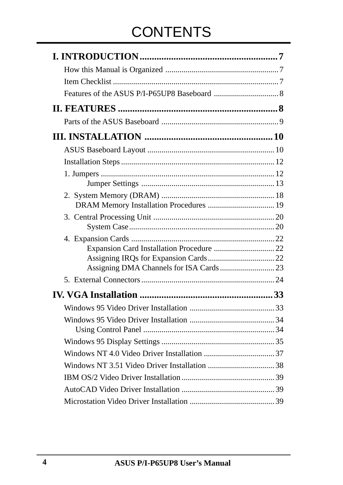# **CONTENTS**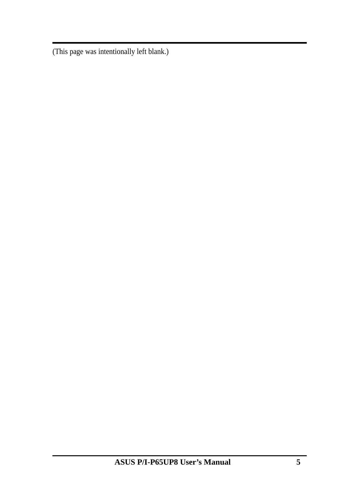(This page was intentionally left blank.)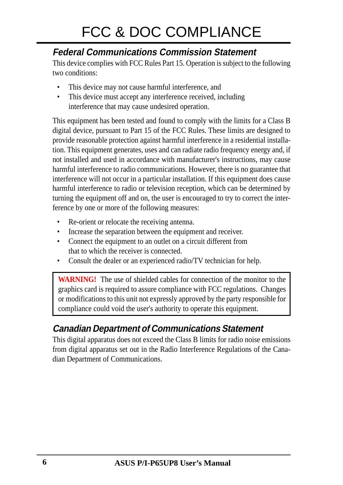# FCC & DOC COMPLIANCE

### **Federal Communications Commission Statement**

This device complies with FCC Rules Part 15. Operation is subject to the following two conditions:

- This device may not cause harmful interference, and
- This device must accept any interference received, including interference that may cause undesired operation.

This equipment has been tested and found to comply with the limits for a Class B digital device, pursuant to Part 15 of the FCC Rules. These limits are designed to provide reasonable protection against harmful interference in a residential installation. This equipment generates, uses and can radiate radio frequency energy and, if not installed and used in accordance with manufacturer's instructions, may cause harmful interference to radio communications. However, there is no guarantee that interference will not occur in a particular installation. If this equipment does cause harmful interference to radio or television reception, which can be determined by turning the equipment off and on, the user is encouraged to try to correct the interference by one or more of the following measures:

- Re-orient or relocate the receiving antenna.
- Increase the separation between the equipment and receiver.
- Connect the equipment to an outlet on a circuit different from that to which the receiver is connected.
- Consult the dealer or an experienced radio/TV technician for help.

**WARNING!** The use of shielded cables for connection of the monitor to the graphics card is required to assure compliance with FCC regulations. Changes or modifications to this unit not expressly approved by the party responsible for compliance could void the user's authority to operate this equipment.

### **Canadian Department of Communications Statement**

This digital apparatus does not exceed the Class B limits for radio noise emissions from digital apparatus set out in the Radio Interference Regulations of the Canadian Department of Communications.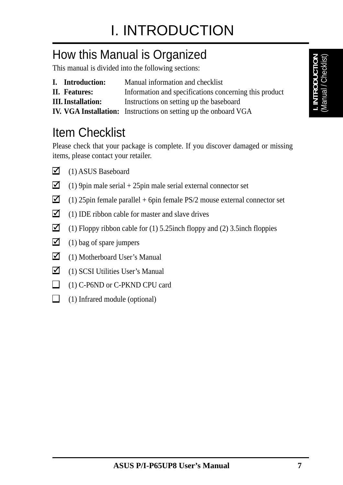# How this Manual is Organized

This manual is divided into the following sections:

**I. Introduction:** Manual information and checklist **II. Features:** Information and specifications concerning this product **III. Installation:** Instructions on setting up the baseboard **IV. VGA Installation:** Instructions on setting up the onboard VGA

# Item Checklist

Please check that your package is complete. If you discover damaged or missing items, please contact your retailer.

- М (1) ASUS Baseboard
- ☑ (1) 9pin male serial + 25pin male serial external connector set
- ☑ (1) 25pin female parallel + 6pin female PS/2 mouse external connector set
- ☑ (1) IDE ribbon cable for master and slave drives
- **冈** (1) Floppy ribbon cable for (1) 5.25inch floppy and (2) 3.5inch floppies
- ☑ (1) bag of spare jumpers
- ल (1) Motherboard User's Manual
- ☑ (1) SCSI Utilities User's Manual
- $\Box$ (1) C-P6ND or C-PKND CPU card
- $\Box$ (1) Infrared module (optional)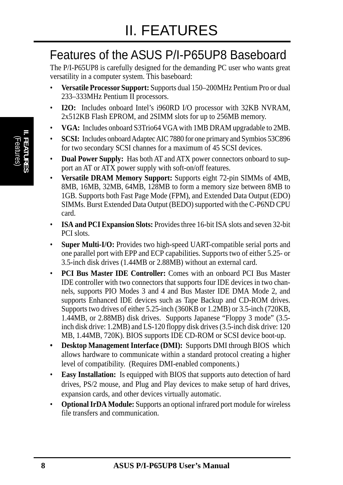# Features of the ASUS P/I-P65UP8 Baseboard

The P/I-P65UP8 is carefully designed for the demanding PC user who wants great versatility in a computer system. This baseboard:

- **Versatile Processor Support:** Supports dual 150–200MHz Pentium Pro or dual 233–333MHz Pentium II processors.
- **I2O:** Includes onboard Intel's i960RD I/O processor with 32KB NVRAM, 2x512KB Flash EPROM, and 2SIMM slots for up to 256MB memory.
- **VGA:** Includes onboard S3Trio64 VGA with 1MB DRAM upgradable to 2MB.
- **SCSI:** Includes onboard Adaptec AIC 7880 for one primary and Symbios 53C896 for two secondary SCSI channes for a maximum of 45 SCSI devices.
- **Dual Power Supply:** Has both AT and ATX power connectors onboard to support an AT or ATX power supply with soft-on/off features.
- **Versatile DRAM Memory Support:** Supports eight 72-pin SIMMs of 4MB, 8MB, 16MB, 32MB, 64MB, 128MB to form a memory size between 8MB to 1GB. Supports both Fast Page Mode (FPM), and Extended Data Output (EDO) SIMMs. Burst Extended Data Output (BEDO) supported with the C-P6ND CPU card.
- **ISA and PCI Expansion Slots:** Provides three 16-bit ISA slots and seven 32-bit PCI slots.
- **Super Multi-I/O:** Provides two high-speed UART-compatible serial ports and one parallel port with EPP and ECP capabilities. Supports two of either 5.25- or 3.5-inch disk drives (1.44MB or 2.88MB) without an external card.
- **PCI Bus Master IDE Controller:** Comes with an onboard PCI Bus Master IDE controller with two connectors that supports four IDE devices in two channels, supports PIO Modes 3 and 4 and Bus Master IDE DMA Mode 2, and supports Enhanced IDE devices such as Tape Backup and CD-ROM drives. Supports two drives of either 5.25-inch (360KB or 1.2MB) or 3.5-inch (720KB, 1.44MB, or 2.88MB) disk drives. Supports Japanese "Floppy 3 mode" (3.5 inch disk drive: 1.2MB) and LS-120 floppy disk drives (3.5-inch disk drive: 120 MB, 1.44MB, 720K). BIOS supports IDE CD-ROM or SCSI device boot-up.
- **Desktop Management Interface (DMI):** Supports DMI through BIOS which allows hardware to communicate within a standard protocol creating a higher level of compatibility. (Requires DMI-enabled components.)
- **Easy Installation:** Is equipped with BIOS that supports auto detection of hard drives, PS/2 mouse, and Plug and Play devices to make setup of hard drives, expansion cards, and other devices virtually automatic.
- **Optional IrDA Module:** Supports an optional infrared port module for wireless file transfers and communication.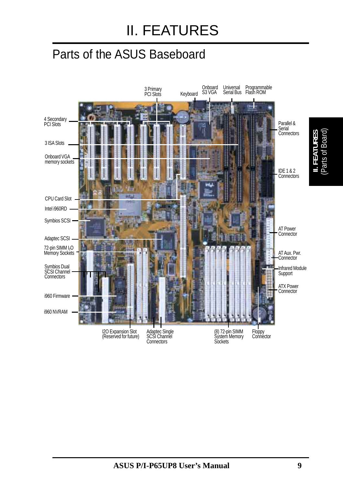# Parts of the ASUS Baseboard

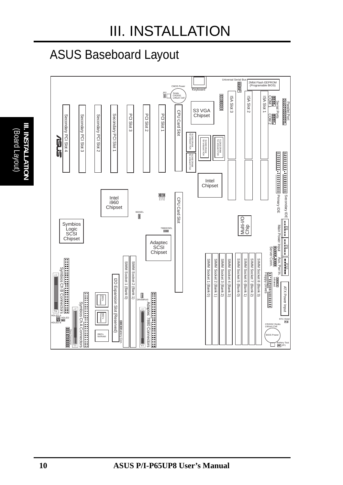# ASUS Baseboard Layout



**III. INSTALLATIONI. INSTALLATION** (Board Layout) (Board Layout)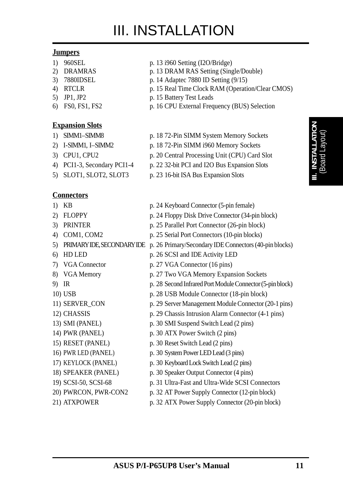# III. INSTALLATION

#### **Jumpers**

- 
- 
- 
- 
- 
- 

### **Expansion Slots**

- 
- 
- 
- 
- 

### **Connectors**

- 
- 
- 
- 
- 
- 
- 
- 
- 
- 
- 
- 
- 
- 
- 
- 
- 
- 
- 
- 
- 
- 1) 960SEL p. 13 i960 Setting (I2O/Bridge)
- 2) DRAMRAS p. 13 DRAM RAS Setting (Single/Double)
- 3) 7880IDSEL p. 14 Adaptec 7880 ID Setting (9/15)
- 4) RTCLR p. 15 Real Time Clock RAM (Operation/Clear CMOS)
- 5) JP1, JP2 p. 15 Battery Test Leads
- 6) FS0, FS1, FS2 p. 16 CPU External Frequency (BUS) Selection
- 1) SIMM1–SIMM8 p. 18 72-Pin SIMM System Memory Sockets
- 2) I-SIMM1, I-SIMM2 p. 18 72-Pin SIMM i960 Memory Sockets
- 3) CPU1, CPU2 p. 20 Central Processing Unit (CPU) Card Slot
- 4) PCI1-3, Secondary PCI1-4 p. 22 32-bit PCI and I2O Bus Expansion Slots
- 5) SLOT1, SLOT2, SLOT3 p. 23 16-bit ISA Bus Expansion Slots
- 1) KB p. 24 Keyboard Connector (5-pin female)
- 2) FLOPPY p. 24 Floppy Disk Drive Connector (34-pin block)
- 3) PRINTER p. 25 Parallel Port Connector (26-pin block)
- 4) COM1, COM2 p. 25 Serial Port Connectors (10-pin blocks)
- 5) PRIMARY IDE, SECONDARY IDE p. 26 Primary/Secondary IDE Connectors (40-pin blocks)
- 6) HD LED p. 26 SCSI and IDE Activity LED
- 7) VGA Connector p. 27 VGA Connector (16 pins)
- 8) VGA Memory p. 27 Two VGA Memory Expansion Sockets
- 9) IR p. 28 Second Infrared Port Module Connector (5-pin block)
- 10) USB p. 28 USB Module Connector (18-pin block)
- 11) SERVER\_CON p. 29 Server Management Module Connector (20-1 pins)
- 12) CHASSIS p. 29 Chassis Intrusion Alarm Connector (4-1 pins)
- 13) SMI (PANEL) p. 30 SMI Suspend Switch Lead (2 pins)
- 14) PWR (PANEL) p. 30 ATX Power Switch (2 pins)
- 15) RESET (PANEL) p. 30 Reset Switch Lead (2 pins)
- 16) PWR LED (PANEL) p. 30 System Power LED Lead (3 pins)
- 17) KEYLOCK (PANEL) p. 30 Keyboard Lock Switch Lead (2 pins)
- 18) SPEAKER (PANEL) p. 30 Speaker Output Connector (4 pins)
- 19) SCSI-50, SCSI-68 p. 31 Ultra-Fast and Ultra-Wide SCSI Connectors
- 20) PWRCON, PWR-CON2 p. 32 AT Power Supply Connector (12-pin block)
- 21) ATXPOWER p. 32 ATX Power Supply Connector (20-pin block)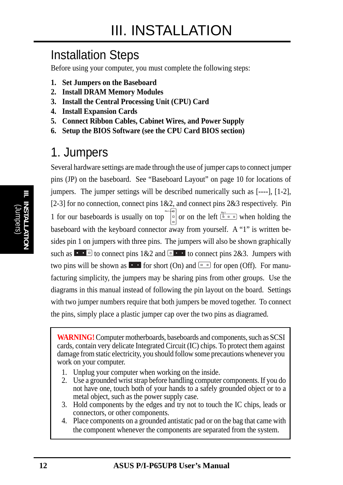### Installation Steps

Before using your computer, you must complete the following steps:

- **1. Set Jumpers on the Baseboard**
- **2. Install DRAM Memory Modules**
- **3. Install the Central Processing Unit (CPU) Card**
- **4. Install Expansion Cards**
- **5. Connect Ribbon Cables, Cabinet Wires, and Power Supply**
- **6. Setup the BIOS Software (see the CPU Card BIOS section)**

### 1. Jumpers

Several hardware settings are made through the use of jumper caps to connect jumper pins (JP) on the baseboard. See "Baseboard Layout" on page 10 for locations of jumpers. The jumper settings will be described numerically such as [----], [1-2], [2-3] for no connection, connect pins  $1&2$ , and connect pins  $2&3$  respectively. Pin 1 for our baseboards is usually on top  $\int_{0}^{\pi}$  or on the left  $\frac{\pi}{\sigma}$  when holding the baseboard with the keyboard connector away from yourself. A "1" is written besides pin 1 on jumpers with three pins. The jumpers will also be shown graphically such as **the connect pins 1&2** and  $\boxed{\bullet}$  **to connect pins 2&3.** Jumpers with two pins will be shown as **For** for short (On) and  $\boxed{a}$  for open (Off). For manufacturing simplicity, the jumpers may be sharing pins from other groups. Use the diagrams in this manual instead of following the pin layout on the board. Settings with two jumper numbers require that both jumpers be moved together. To connect the pins, simply place a plastic jumper cap over the two pins as diagramed.

**WARNING!** Computer motherboards, baseboards and components, such as SCSI cards, contain very delicate Integrated Circuit (IC) chips. To protect them against damage from static electricity, you should follow some precautions whenever you work on your computer.

- 1. Unplug your computer when working on the inside.
- 2. Use a grounded wrist strap before handling computer components. If you do not have one, touch both of your hands to a safely grounded object or to a metal object, such as the power supply case.
- 3. Hold components by the edges and try not to touch the IC chips, leads or connectors, or other components.
- 4. Place components on a grounded antistatic pad or on the bag that came with the component whenever the components are separated from the system.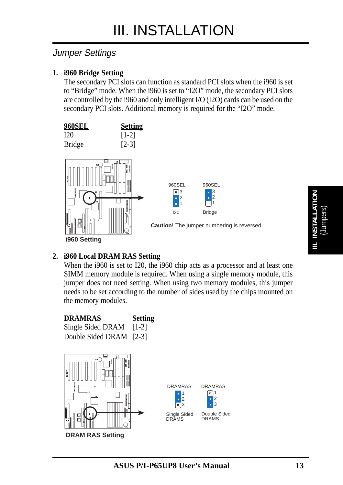### Jumper Settings

### **1. i960 Bridge Setting**

The secondary PCI slots can function as standard PCI slots when the i960 is set to "Bridge" mode. When the i960 is set to "I2O" mode, the secondary PCI slots are controlled by the i960 and only intelligent I/O (I2O) cards can be used on the secondary PCI slots. Additional memory is required for the "I2O" mode.



### **2. i960 Local DRAM RAS Setting**

When the i960 is set to I20, the i960 chip acts as a processor and at least one SIMM memory module is required. When using a single memory module, this jumper does not need setting. When using two memory modules, this jumper needs to be set according to the number of sides used by the chips mounted on the memory modules.

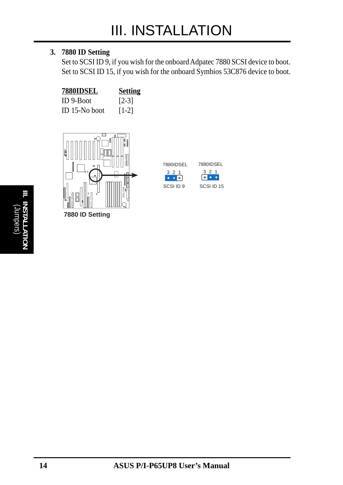### **3. 7880 ID Setting**

Set to SCSI ID 9, if you wish for the onboard Adpatec 7880 SCSI device to boot. Set to SCSI ID 15, if you wish for the onboard Symbios 53C876 device to boot.

| 7880IDSEL     | <b>Setting</b> |
|---------------|----------------|
| ID 9-Boot     | $[2-3]$        |
| ID 15-No boot | $[1-2]$        |



**7880 ID Setting**



(Jumpers) **III. INSTALLATION**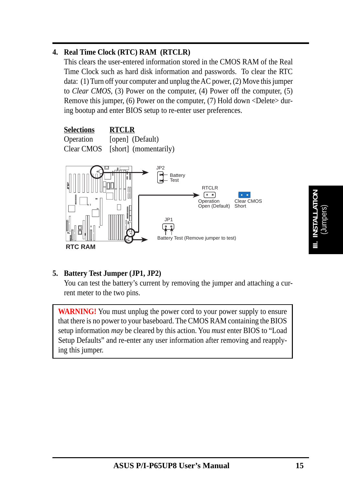### **4. Real Time Clock (RTC) RAM (RTCLR)**

This clears the user-entered information stored in the CMOS RAM of the Real Time Clock such as hard disk information and passwords. To clear the RTC data: (1) Turn off your computer and unplug the AC power, (2) Move this jumper to *Clear CMOS*, (3) Power on the computer, (4) Power off the computer, (5) Remove this jumper, (6) Power on the computer, (7) Hold down <Delete > during bootup and enter BIOS setup to re-enter user preferences.





(Jumpers) **III. INSTALLATION**

### **5. Battery Test Jumper (JP1, JP2)**

You can test the battery's current by removing the jumper and attaching a current meter to the two pins.

**WARNING!** You must unplug the power cord to your power supply to ensure that there is no power to your baseboard. The CMOS RAM containing the BIOS setup information *may* be cleared by this action. You *must* enter BIOS to "Load Setup Defaults" and re-enter any user information after removing and reapplying this jumper.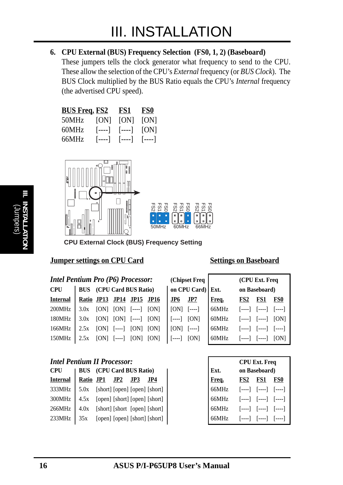### **6. CPU External (BUS) Frequency Selection (FS0, 1, 2) (Baseboard)**

These jumpers tells the clock generator what frequency to send to the CPU. These allow the selection of the CPU's *External* frequency (or *BUS Clock*). The BUS Clock multiplied by the BUS Ratio equals the CPU's *Internal* frequency (the advertised CPU speed).

| <b>BUS Freq. FS2</b> |                    | FS1                      | FS0                    |
|----------------------|--------------------|--------------------------|------------------------|
| 50MHz                | [ON]               | [ON]                     | [ON]                   |
| 60MHz                | $[---]$            | $[--,-]$                 | [ON]                   |
| 66MHz                | $\left[---\right]$ | $\left[ - - - - \right]$ | $\left  - - - \right $ |



**CPU External Clock (BUS) Frequency Setting**

### **Jumper settings on CPU Card Settings on Baseboard**

#### *Intel Pentium Pro (P6) Processor:* **(Chipset)**

| CPU                                                |  |  | <b>BUS</b> (CPU Card BUS Ratio) |                         | on CPU Card)   Ext. on Baseboard)                                                      |                |     |
|----------------------------------------------------|--|--|---------------------------------|-------------------------|----------------------------------------------------------------------------------------|----------------|-----|
| <u>Internal</u>   <u>Ratio</u> JP13 JP14 JP15 JP16 |  |  |                                 | $\sqrt{\text{JP6}}$ JP7 | Freq.                                                                                  | <b>FS2</b> FS1 | FS0 |
|                                                    |  |  |                                 |                         | 200MHz   3.0x [ON] [ON] [----] [ON]   [ON] [----]   66MHz [----] [----] [----]         |                |     |
|                                                    |  |  |                                 |                         | 180MHz 3.0x [ON] [ON] [----] [ON] $\vert$ [----] [ON] $\vert$ 60MHz [----] [----] [ON] |                |     |
|                                                    |  |  |                                 |                         | 166MHz 2.5x [ON] [----] [ON] [ON] $\vert$ [ON] [----] 66MHz [----] [----] [----]       |                |     |
|                                                    |  |  |                                 |                         | 150MHz 2.5x [ON] [----] [ON] [ON] $\vert$ [----] [ON] $\vert$ 60MHz [----] [----] [ON] |                |     |

### **Intel Pentium II Processor:**

| CPU   BUS (CPU Card BUS Ratio)              |                   |  |     | Ext.                       | on Baseboard) |     |     |
|---------------------------------------------|-------------------|--|-----|----------------------------|---------------|-----|-----|
| <b>Internal</b>                             | Ratio JP1 JP2 JP3 |  | JP4 | Freq.                      | FS2           | FS1 | FS0 |
| 333MHz 5.0x [short] [open] [open] [short]   |                   |  |     | 66MHz [----] [----] [----] |               |     |     |
| 300MHz   4.5x [open] [short] [open] [short] |                   |  |     | 66MHz [----] [----] [----] |               |     |     |
| 266MHz   4.0x [short] [short [open] [short] |                   |  |     | 66MHz [----] [----] [----] |               |     |     |
| 233MHz 35x [open] [open] [short] [short]    |                   |  |     | 66MHz [----] [----] [----] |               |     |     |

| Freq      | (CPU Ext. Freq |               |                         |  |  |  |  |  |  |
|-----------|----------------|---------------|-------------------------|--|--|--|--|--|--|
| Card)     | Ext.           | on Baseboard) |                         |  |  |  |  |  |  |
| <u>P7</u> | Freq.          |               | FS2 FS1 FS0             |  |  |  |  |  |  |
| $-1$      | 66MHz          |               | [----] [----] [----]    |  |  |  |  |  |  |
| N         | 60MHz          |               | $[--1]$ $[--1]$ $[ON]$  |  |  |  |  |  |  |
| ---1      | 66MHz          |               | $[--1]$ $[--1]$ $[--1]$ |  |  |  |  |  |  |
| )N]       | 60MHz          |               | $[--1]$ $[--1]$ $[ON]$  |  |  |  |  |  |  |

|       | <b>CPU Ext. Freq</b> |                         |  |
|-------|----------------------|-------------------------|--|
| Ext.  | on Baseboard)        |                         |  |
| Freq. |                      | <b>FS2 FS1 FS0</b>      |  |
| 66MHz |                      | [----] [----] [----]    |  |
| 66MHz |                      | $[--1]$ $[--1]$ $[--1]$ |  |
| 66MHz |                      | $[--1]$ $[--1]$ $[--1]$ |  |
| 66MHz |                      | $[--1]$ $[--1]$ $[--1]$ |  |

(Jumpers) **III. INSTALLATION**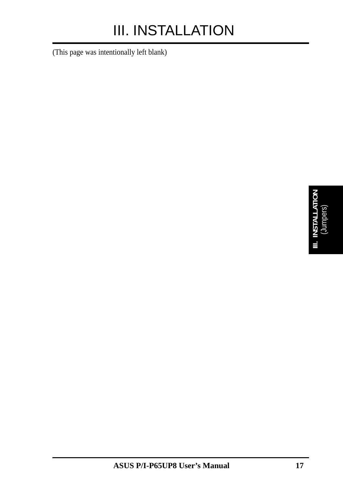# III. INSTALLATION

(This page was intentionally left blank)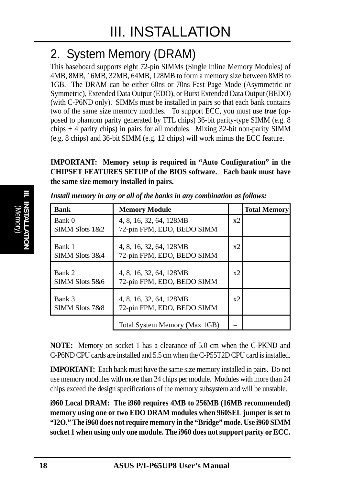# 2. System Memory (DRAM)

This baseboard supports eight 72-pin SIMMs (Single Inline Memory Modules) of 4MB, 8MB, 16MB, 32MB, 64MB, 128MB to form a memory size between 8MB to 1GB. The DRAM can be either 60ns or 70ns Fast Page Mode (Asymmetric or Symmetric), Extended Data Output (EDO), or Burst Extended Data Output (BEDO) (with C-P6ND only). SIMMs must be installed in pairs so that each bank contains two of the same size memory modules. To support ECC, you must use *true* (opposed to phantom parity generated by TTL chips) 36-bit parity-type SIMM (e.g. 8 chips  $+4$  parity chips) in pairs for all modules. Mixing 32-bit non-parity SIMM (e.g. 8 chips) and 36-bit SIMM (e.g. 12 chips) will work minus the ECC feature.

**IMPORTANT: Memory setup is required in "Auto Configuration" in the CHIPSET FEATURES SETUP of the BIOS software. Each bank must have the same size memory installed in pairs.**

| <b>Bank</b>                | <b>Memory Module</b>                                  |    | <b>Total Memory</b> |
|----------------------------|-------------------------------------------------------|----|---------------------|
| Bank 0<br>SIMM Slots $1&2$ | 4, 8, 16, 32, 64, 128MB<br>72-pin FPM, EDO, BEDO SIMM | x2 |                     |
| Bank 1<br>SIMM Slots 3&4   | 4, 8, 16, 32, 64, 128MB<br>72-pin FPM, EDO, BEDO SIMM | x2 |                     |
| Bank 2<br>SIMM Slots 5&6   | 4, 8, 16, 32, 64, 128MB<br>72-pin FPM, EDO, BEDO SIMM | x2 |                     |
| Bank 3<br>SIMM Slots 7&8   | 4, 8, 16, 32, 64, 128MB<br>72-pin FPM, EDO, BEDO SIMM | x2 |                     |
|                            | Total System Memory (Max 1GB)                         |    |                     |

*Install memory in any or all of the banks in any combination as follows:*

**NOTE:** Memory on socket 1 has a clearance of 5.0 cm when the C-PKND and C-P6ND CPU cards are installed and 5.5 cm when the C-P55T2D CPU card is installed.

**IMPORTANT:** Each bank must have the same size memory installed in pairs. Do not use memory modules with more than 24 chips per module. Modules with more than 24 chips exceed the design specifications of the memory subsystem and will be unstable.

**i960 Local DRAM: The i960 requires 4MB to 256MB (16MB recommended) memory using one or two EDO DRAM modules when 960SEL jumper is set to "I2O." The i960 does not require memory in the "Bridge" mode. Use i960 SIMM socket 1 when using only one module. The i960 does not support parity or ECC.**

**III. INSTALLATION** (Memory)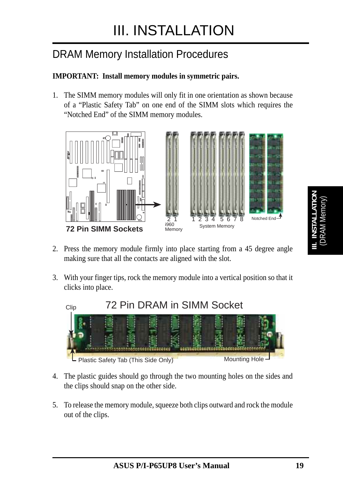### DRAM Memory Installation Procedures

### **IMPORTANT: Install memory modules in symmetric pairs.**

1. The SIMM memory modules will only fit in one orientation as shown because of a "Plastic Safety Tab" on one end of the SIMM slots which requires the "Notched End" of the SIMM memory modules.



- 2. Press the memory module firmly into place starting from a 45 degree angle making sure that all the contacts are aligned with the slot.
- 3. With your finger tips, rock the memory module into a vertical position so that it clicks into place.



- 4. The plastic guides should go through the two mounting holes on the sides and the clips should snap on the other side.
- 5. To release the memory module, squeeze both clips outward and rock the module out of the clips.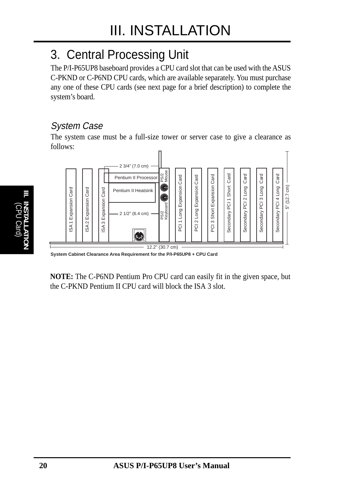# 3. Central Processing Unit

The P/I-P65UP8 baseboard provides a CPU card slot that can be used with the ASUS C-PKND or C-P6ND CPU cards, which are available separately. You must purchase any one of these CPU cards (see next page for a brief description) to complete the system's board.

### System Case

The system case must be a full-size tower or server case to give a clearance as follows:



**NOTE:** The C-P6ND Pentium Pro CPU card can easily fit in the given space, but the C-PKND Pentium II CPU card will block the ISA 3 slot.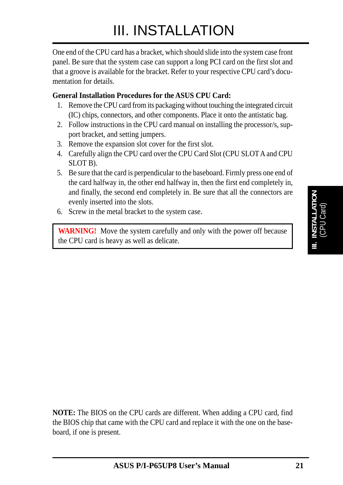One end of the CPU card has a bracket, which should slide into the system case front panel. Be sure that the system case can support a long PCI card on the first slot and that a groove is available for the bracket. Refer to your respective CPU card's documentation for details.

### **General Installation Procedures for the ASUS CPU Card:**

- 1. Remove the CPU card from its packaging without touching the integrated circuit (IC) chips, connectors, and other components. Place it onto the antistatic bag.
- 2. Follow instructions in the CPU card manual on installing the processor/s, support bracket, and setting jumpers.
- 3. Remove the expansion slot cover for the first slot.
- 4. Carefully align the CPU card over the CPU Card Slot (CPU SLOT A and CPU SLOT B).
- 5. Be sure that the card is perpendicular to the baseboard. Firmly press one end of the card halfway in, the other end halfway in, then the first end completely in, and finally, the second end completely in. Be sure that all the connectors are evenly inserted into the slots.
- 6. Screw in the metal bracket to the system case.

**WARNING!** Move the system carefully and only with the power off because the CPU card is heavy as well as delicate.

**NOTE:** The BIOS on the CPU cards are different. When adding a CPU card, find the BIOS chip that came with the CPU card and replace it with the one on the baseboard, if one is present.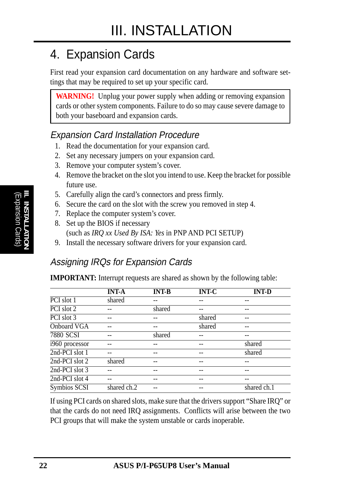# 4. Expansion Cards

First read your expansion card documentation on any hardware and software settings that may be required to set up your specific card.

**WARNING!** Unplug your power supply when adding or removing expansion cards or other system components. Failure to do so may cause severe damage to both your baseboard and expansion cards.

### Expansion Card Installation Procedure

- 1. Read the documentation for your expansion card.
- 2. Set any necessary jumpers on your expansion card.
- 3. Remove your computer system's cover.
- 4. Remove the bracket on the slot you intend to use. Keep the bracket for possible future use.
- 5. Carefully align the card's connectors and press firmly.
- 6. Secure the card on the slot with the screw you removed in step 4.
- 7. Replace the computer system's cover.
- 8. Set up the BIOS if necessary (such as *IRQ xx Used By ISA: Yes* in PNP AND PCI SETUP)
- 9. Install the necessary software drivers for your expansion card.

### Assigning IRQs for Expansion Cards

**IMPORTANT:** Interrupt requests are shared as shown by the following table:

|                         | <b>INT-A</b> | <b>INT-B</b> | <b>INT-C</b> | <b>INT-D</b> |
|-------------------------|--------------|--------------|--------------|--------------|
| $\overline{PCI}$ slot 1 | shared       |              |              |              |
| PCI slot 2              | --           | shared       |              |              |
| PCI slot 3              | --           |              | shared       |              |
| <b>Onboard VGA</b>      |              |              | shared       |              |
| 7880 SCSI               |              | shared       |              |              |
| i960 processor          |              |              |              | shared       |
| $2nd$ -PCI slot 1       |              |              |              | shared       |
| 2nd-PCI slot 2          | shared       |              |              |              |
| 2nd-PCI slot 3          |              |              |              |              |
| $2nd$ -PCI slot 4       |              |              |              |              |
| <b>Symbios SCSI</b>     | shared ch.2  |              |              | shared ch.1  |

If using PCI cards on shared slots, make sure that the drivers support "Share IRQ" or that the cards do not need IRQ assignments. Conflicts will arise between the two PCI groups that will make the system unstable or cards inoperable.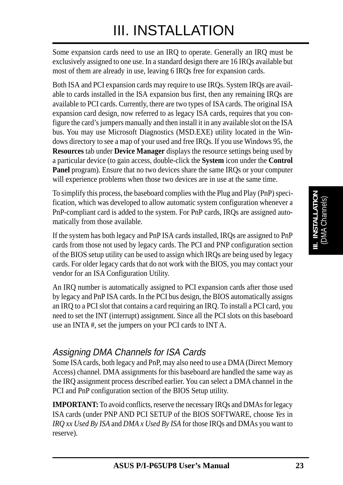# III. INSTALLATION

Some expansion cards need to use an IRQ to operate. Generally an IRQ must be exclusively assigned to one use. In a standard design there are 16 IRQs available but most of them are already in use, leaving 6 IRQs free for expansion cards.

Both ISA and PCI expansion cards may require to use IRQs. System IRQs are available to cards installed in the ISA expansion bus first, then any remaining IRQs are available to PCI cards. Currently, there are two types of ISA cards. The original ISA expansion card design, now referred to as legacy ISA cards, requires that you configure the card's jumpers manually and then install it in any available slot on the ISA bus. You may use Microsoft Diagnostics (MSD.EXE) utility located in the Windows directory to see a map of your used and free IRQs. If you use Windows 95, the **Resources** tab under **Device Manager** displays the resource settings being used by a particular device (to gain access, double-click the **System** icon under the **Control Panel** program). Ensure that no two devices share the same IRQs or your computer will experience problems when those two devices are in use at the same time.

To simplify this process, the baseboard complies with the Plug and Play (PnP) specification, which was developed to allow automatic system configuration whenever a PnP-compliant card is added to the system. For PnP cards, IRQs are assigned automatically from those available.

If the system has both legacy and PnP ISA cards installed, IRQs are assigned to PnP cards from those not used by legacy cards. The PCI and PNP configuration section of the BIOS setup utility can be used to assign which IRQs are being used by legacy cards. For older legacy cards that do not work with the BIOS, you may contact your vendor for an ISA Configuration Utility.

An IRQ number is automatically assigned to PCI expansion cards after those used by legacy and PnP ISA cards. In the PCI bus design, the BIOS automatically assigns an IRQ to a PCI slot that contains a card requiring an IRQ. To install a PCI card, you need to set the INT (interrupt) assignment. Since all the PCI slots on this baseboard use an INTA #, set the jumpers on your PCI cards to INT A.

### Assigning DMA Channels for ISA Cards

Some ISA cards, both legacy and PnP, may also need to use a DMA (Direct Memory Access) channel. DMA assignments for this baseboard are handled the same way as the IRQ assignment process described earlier. You can select a DMA channel in the PCI and PnP configuration section of the BIOS Setup utility.

**IMPORTANT:** To avoid conflicts, reserve the necessary IRQs and DMAs for legacy ISA cards (under PNP AND PCI SETUP of the BIOS SOFTWARE, choose *Yes* in *IRQ xx Used By ISA* and *DMA x Used By ISA* for those IRQs and DMAs you want to reserve).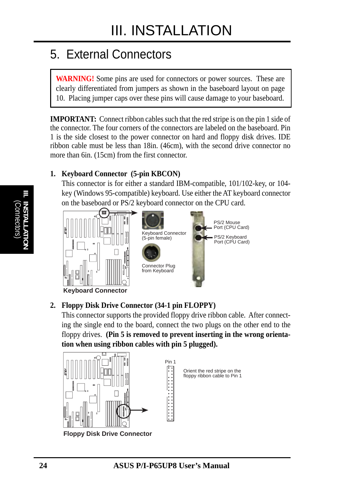# 5. External Connectors

**WARNING!** Some pins are used for connectors or power sources. These are clearly differentiated from jumpers as shown in the baseboard layout on page 10. Placing jumper caps over these pins will cause damage to your baseboard.

**IMPORTANT:** Connect ribbon cables such that the red stripe is on the pin 1 side of the connector. The four corners of the connectors are labeled on the baseboard. Pin 1 is the side closest to the power connector on hard and floppy disk drives. IDE ribbon cable must be less than 18in. (46cm), with the second drive connector no more than 6in. (15cm) from the first connector.

### **1. Keyboard Connector (5-pin KBCON)**

This connector is for either a standard IBM-compatible, 101/102-key, or 104 key (Windows 95-compatible) keyboard. Use either the AT keyboard connector on the baseboard or PS/2 keyboard connector on the CPU card.





**Keyboard Connector**

### **2. Floppy Disk Drive Connector (34-1 pin FLOPPY)**

This connector supports the provided floppy drive ribbon cable. After connecting the single end to the board, connect the two plugs on the other end to the floppy drives. **(Pin 5 is removed to prevent inserting in the wrong orientation when using ribbon cables with pin 5 plugged).**



**Floppy Disk Drive Connector**

Orient the red stripe on the floppy ribbon cable to Pin 1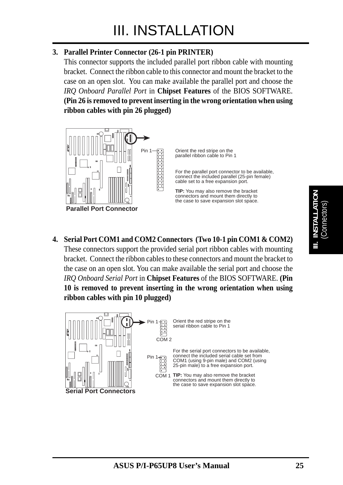### **3. Parallel Printer Connector (26-1 pin PRINTER)**

This connector supports the included parallel port ribbon cable with mounting bracket. Connect the ribbon cable to this connector and mount the bracket to the case on an open slot. You can make available the parallel port and choose the *IRQ Onboard Parallel Port* in **Chipset Features** of the BIOS SOFTWARE. **(Pin 26 is removed to prevent inserting in the wrong orientation when using ribbon cables with pin 26 plugged)**



**Parallel Port Connector**

Orient the red stripe on the parallel ribbon cable to Pin 1

For the parallel port connector to be available, connect the included parallel (25-pin female) cable set to a free expansion port.

**TIP:** You may also remove the bracket connectors and mount them directly to the case to save expansion slot space.

**4. Serial Port COM1 and COM2 Connectors (Two 10-1 pin COM1 & COM2)** These connectors support the provided serial port ribbon cables with mounting bracket. Connect the ribbon cables to these connectors and mount the bracket to the case on an open slot. You can make available the serial port and choose the *IRQ Onboard Serial Port* in **Chipset Features** of the BIOS SOFTWARE. **(Pin 10 is removed to prevent inserting in the wrong orientation when using ribbon cables with pin 10 plugged)**

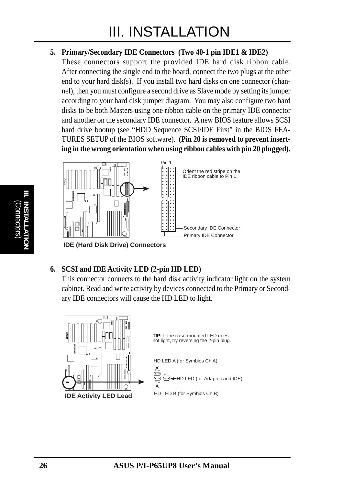### **5. Primary/Secondary IDE Connectors (Two 40-1 pin IDE1 & IDE2)**

These connectors support the provided IDE hard disk ribbon cable. After connecting the single end to the board, connect the two plugs at the other end to your hard disk(s). If you install two hard disks on one connector (channel), then you must configure a second drive as Slave mode by setting its jumper according to your hard disk jumper diagram. You may also configure two hard disks to be both Masters using one ribbon cable on the primary IDE connector and another on the secondary IDE connector. A new BIOS feature allows SCSI hard drive bootup (see "HDD Sequence SCSI/IDE First" in the BIOS FEA-TURES SETUP of the BIOS software). **(Pin 20 is removed to prevent inserting in the wrong orientation when using ribbon cables with pin 20 plugged).**



**IDE (Hard Disk Drive) Connectors**

### **6. SCSI and IDE Activity LED (2-pin HD LED)**

This connector connects to the hard disk activity indicator light on the system cabinet. Read and write activity by devices connected to the Primary or Secondary IDE connectors will cause the HD LED to light.

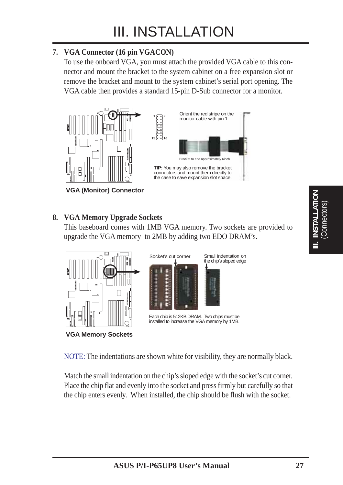### **7. VGA Connector (16 pin VGACON)**

To use the onboard VGA, you must attach the provided VGA cable to this connector and mount the bracket to the system cabinet on a free expansion slot or remove the bracket and mount to the system cabinet's serial port opening. The VGA cable then provides a standard 15-pin D-Sub connector for a monitor.



**VGA (Monitor) Connector**

### **8. VGA Memory Upgrade Sockets**

This baseboard comes with 1MB VGA memory. Two sockets are provided to upgrade the VGA memory to 2MB by adding two EDO DRAM's.







Each chip is 512KB DRAM. Two chips must be installed to increase the VGA memory by 1MB.

NOTE: The indentations are shown white for visibility, they are normally black.

Match the small indentation on the chip's sloped edge with the socket's cut corner. Place the chip flat and evenly into the socket and press firmly but carefully so that the chip enters evenly. When installed, the chip should be flush with the socket.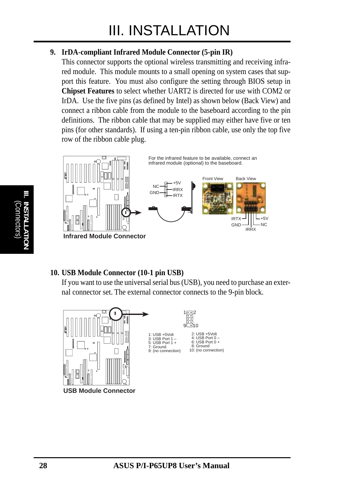### **9. IrDA-compliant Infrared Module Connector (5-pin IR)**

This connector supports the optional wireless transmitting and receiving infrared module. This module mounts to a small opening on system cases that support this feature. You must also configure the setting through BIOS setup in **Chipset Features** to select whether UART2 is directed for use with COM2 or IrDA. Use the five pins (as defined by Intel) as shown below (Back View) and connect a ribbon cable from the module to the baseboard according to the pin definitions. The ribbon cable that may be supplied may either have five or ten pins (for other standards). If using a ten-pin ribbon cable, use only the top five row of the ribbon cable plug.



### **10. USB Module Connector (10-1 pin USB)**

If you want to use the universal serial bus (USB), you need to purchase an external connector set. The external connector connects to the 9-pin block.



(Connectors) **III. INSTALLATION**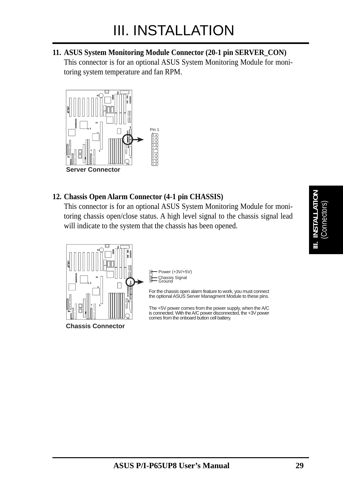**11. ASUS System Monitoring Module Connector (20-1 pin SERVER\_CON)** This connector is for an optional ASUS System Monitoring Module for monitoring system temperature and fan RPM.



### **12. Chassis Open Alarm Connector (4-1 pin CHASSIS)**

This connector is for an optional ASUS System Monitoring Module for monitoring chassis open/close status. A high level signal to the chassis signal lead will indicate to the system that the chassis has been opened.



**Chassis Connector**

Chassis Signal<br>Ground Power (+3V/+5V)

For the chassis open alarm feature to work, you must connect the optional ASUS Server Managment Module to these pins.

The +5V power comes from the power supply, when the A/C is connected. With the A/C power disconnected, the +3V power comes from the onboard button cell battery.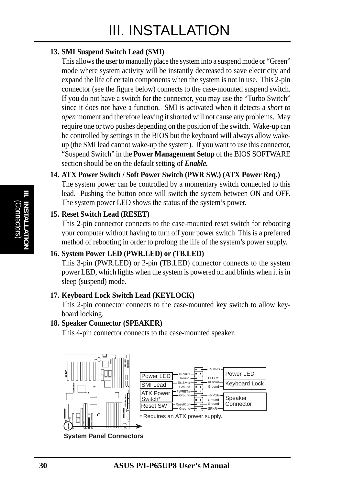### **13. SMI Suspend Switch Lead (SMI)**

This allows the user to manually place the system into a suspend mode or "Green" mode where system activity will be instantly decreased to save electricity and expand the life of certain components when the system is not in use. This 2-pin connector (see the figure below) connects to the case-mounted suspend switch. If you do not have a switch for the connector, you may use the "Turbo Switch" since it does not have a function. SMI is activated when it detects a *short to open* moment and therefore leaving it shorted will not cause any problems. May require one or two pushes depending on the position of the switch. Wake-up can be controlled by settings in the BIOS but the keyboard will always allow wakeup (the SMI lead cannot wake-up the system). If you want to use this connector, "Suspend Switch" in the **Power Management Setup** of the BIOS SOFTWARE section should be on the default setting of *Enable.*

### **14. ATX Power Switch / Soft Power Switch (PWR SW.) (ATX Power Req.)**

The system power can be controlled by a momentary switch connected to this lead. Pushing the button once will switch the system between ON and OFF. The system power LED shows the status of the system's power.

### **15. Reset Switch Lead (RESET)**

This 2-pin connector connects to the case-mounted reset switch for rebooting your computer without having to turn off your power switch This is a preferred method of rebooting in order to prolong the life of the system's power supply.

### **16. System Power LED (PWR.LED) or (TB.LED)**

This 3-pin (PWR.LED) or 2-pin (TB.LED) connector connects to the system power LED, which lights when the system is powered on and blinks when it is in sleep (suspend) mode.

### **17. Keyboard Lock Switch Lead (KEYLOCK)**

This 2-pin connector connects to the case-mounted key switch to allow keyboard locking.

### **18. Speaker Connector (SPEAKER)**

This 4-pin connector connects to the case-mounted speaker.





Requires an ATX power supply.

**System Panel Connectors**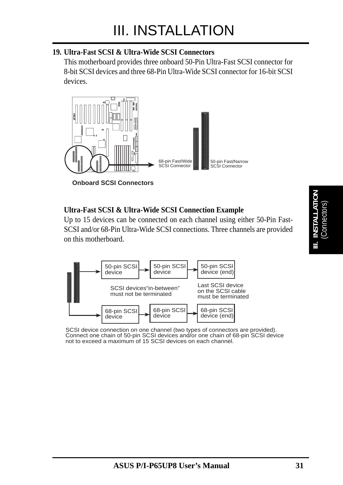### **19. Ultra-Fast SCSI & Ultra-Wide SCSI Connectors**

This motherboard provides three onboard 50-Pin Ultra-Fast SCSI connector for 8-bit SCSI devices and three 68-Pin Ultra-Wide SCSI connector for 16-bit SCSI devices.



**Onboard SCSI Connectors**

### **Ultra-Fast SCSI & Ultra-Wide SCSI Connection Example**

Up to 15 devices can be connected on each channel using either 50-Pin Fast-SCSI and/or 68-Pin Ultra-Wide SCSI connections. Three channels are provided on this motherboard.



SCSI device connection on one channel (two types of connectors are provided). Connect one chain of 50-pin SCSI devices and/or one chain of 68-pin SCSI device not to exceed a maximum of 15 SCSI devices on each channel.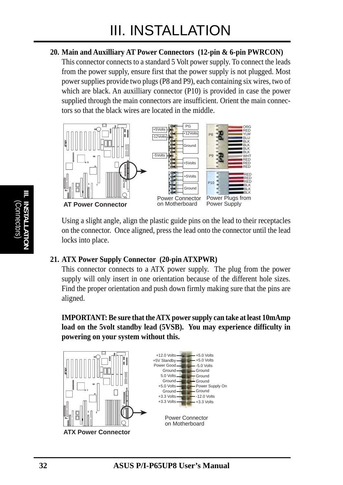### **20. Main and Auxilliary AT Power Connectors (12-pin & 6-pin PWRCON)**

This connector connects to a standard 5 Volt power supply. To connect the leads from the power supply, ensure first that the power supply is not plugged. Most power supplies provide two plugs (P8 and P9), each containing six wires, two of which are black. An auxilliary connector (P10) is provided in case the power supplied through the main connectors are insufficient. Orient the main connectors so that the black wires are located in the middle.



Using a slight angle, align the plastic guide pins on the lead to their receptacles on the connector. Once aligned, press the lead onto the connector until the lead locks into place.

### **21. ATX Power Supply Connector (20-pin ATXPWR)**

This connector connects to a ATX power supply. The plug from the power supply will only insert in one orientation because of the different hole sizes. Find the proper orientation and push down firmly making sure that the pins are aligned.

### **IMPORTANT: Be sure that the ATX power supply can take at least 10mAmp load on the 5volt standby lead (5VSB). You may experience difficulty in powering on your system without this.**

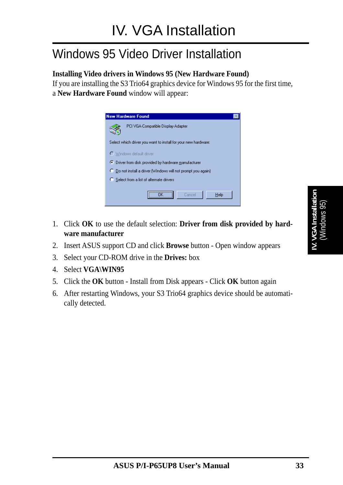# Windows 95 Video Driver Installation

### **Installing Video drivers in Windows 95 (New Hardware Found)**

If you are installing the S3 Trio64 graphics device for Windows 95 for the first time, a **New Hardware Found** window will appear:

| <b>New Hardware Found</b>                                      |  |  |
|----------------------------------------------------------------|--|--|
| PCI VGA-Compatible Display Adapter                             |  |  |
| Select which driver you want to install for your new hardware: |  |  |
| C Windows default driver                                       |  |  |
| • Driver from disk provided by hardware manufacturer           |  |  |
| C Do not install a driver (Windows will not prompt you again)  |  |  |
| C Select from a list of alternate drivers                      |  |  |
| ,,,,,,,,,,,,,,,,,,,,,,,,,,,,,,<br>Help<br>Cancel               |  |  |

- 1. Click **OK** to use the default selection: **Driver from disk provided by hardware manufacturer**
- 2. Insert ASUS support CD and click **Browse** button Open window appears
- 3. Select your CD-ROM drive in the **Drives:** box
- 4. Select **VGA\WIN95**
- 5. Click the **OK** button Install from Disk appears Click **OK** button again
- 6. After restarting Windows, your S3 Trio64 graphics device should be automatically detected.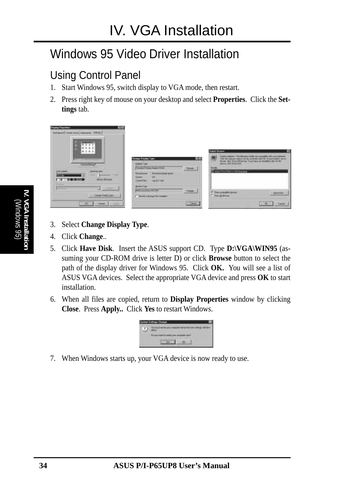# Windows 95 Video Driver Installation

### Using Control Panel

- 1. Start Windows 95, switch display to VGA mode, then restart.
- 2. Press right key of mouse on your desktop and select **Properties**. Click the **Settings** tab.



- 3. Select **Change Display Type**.
- 4. Click **Change**..
- 5. Click **Have Disk**. Insert the ASUS support CD. Type **D:\VGA\WIN95** (assuming your CD-ROM drive is letter D) or click **Browse** button to select the path of the display driver for Windows 95. Click **OK.** You will see a list of ASUS VGA devices. Select the appropriate VGA device and press **OK** to start installation.
- 6. When all files are copied, return to **Display Properties** window by clicking **Close**. Press **Apply..** Click **Yes** to restart Windows.



7. When Windows starts up, your VGA device is now ready to use.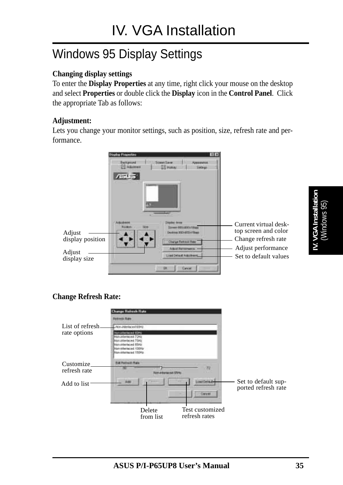# Windows 95 Display Settings

### **Changing display settings**

To enter the **Display Properties** at any time, right click your mouse on the desktop and select **Properties** or double click the **Display** icon in the **Control Panel**. Click the appropriate Tab as follows:

#### **Adjustment:**

Lets you change your monitor settings, such as position, size, refresh rate and performance.



### **Change Refresh Rate:**

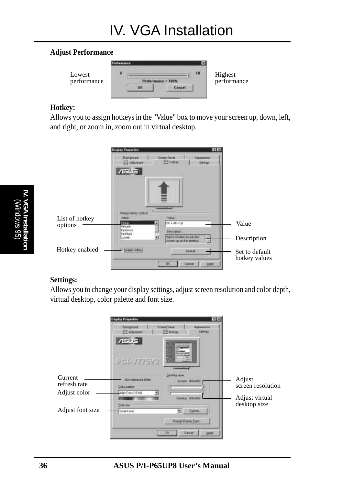#### **Adjust Performance**



### **Hotkey:**

Allows you to assign hotkeys in the "Value" box to move your screen up, down, left, and right, or zoom in, zoom out in virtual desktop.



### **Settings:**

(Windows 95) **IV. VGA Installation**

IV. VGA Installat<br>Mindows 95)

Allows you to change your display settings, adjust screen resolution and color depth, virtual desktop, color palette and font size.

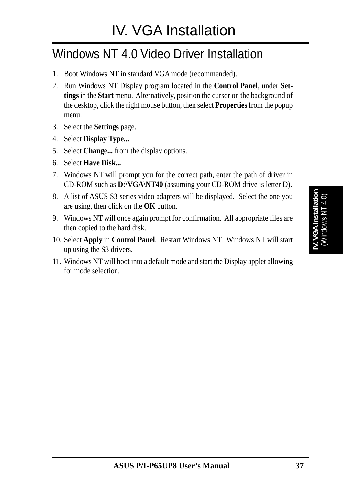# Windows NT 4.0 Video Driver Installation

- 1. Boot Windows NT in standard VGA mode (recommended).
- 2. Run Windows NT Display program located in the **Control Panel**, under **Settings** in the **Start** menu. Alternatively, position the cursor on the background of the desktop, click the right mouse button, then select **Properties** from the popup menu.
- 3. Select the **Settings** page.
- 4. Select **Display Type...**
- 5. Select **Change...** from the display options.
- 6. Select **Have Disk...**
- 7. Windows NT will prompt you for the correct path, enter the path of driver in CD-ROM such as **D:\VGA\NT40** (assuming your CD-ROM drive is letter D).
- 8. A list of ASUS S3 series video adapters will be displayed. Select the one you are using, then click on the **OK** button.
- 9. Windows NT will once again prompt for confirmation. All appropriate files are then copied to the hard disk.
- 10. Select **Apply** in **Control Panel**. Restart Windows NT. Windows NT will start up using the S3 drivers.
- 11. Windows NT will boot into a default mode and start the Display applet allowing for mode selection.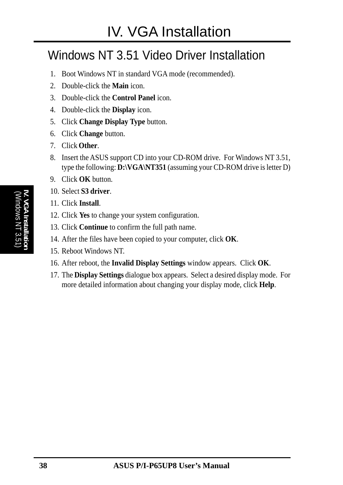# Windows NT 3.51 Video Driver Installation

- 1. Boot Windows NT in standard VGA mode (recommended).
- 2. Double-click the **Main** icon.
- 3. Double-click the **Control Panel** icon.
- 4. Double-click the **Display** icon.
- 5. Click **Change Display Type** button.
- 6. Click **Change** button.
- 7. Click **Other**.
- 8. Insert the ASUS support CD into your CD-ROM drive. For Windows NT 3.51, type the following: **D:\VGA\NT351** (assuming your CD-ROM drive is letter D)
- 9. Click **OK** button.
- 10. Select **S3 driver**.
- 11. Click **Install**.
- 12. Click **Yes** to change your system configuration.
- 13. Click **Continue** to confirm the full path name.
- 14. After the files have been copied to your computer, click **OK**.
- 15. Reboot Windows NT.
- 16. After reboot, the **Invalid Display Settings** window appears. Click **OK**.
- 17. The **Display Settings** dialogue box appears. Select a desired display mode. For more detailed information about changing your display mode, click **Help**.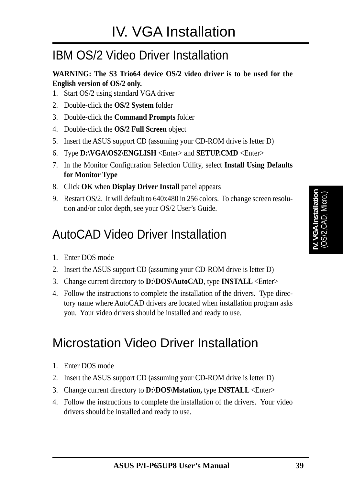# IBM OS/2 Video Driver Installation

**WARNING: The S3 Trio64 device OS/2 video driver is to be used for the English version of OS/2 only.**

- 1. Start OS/2 using standard VGA driver
- 2. Double-click the **OS/2 System** folder
- 3. Double-click the **Command Prompts** folder
- 4. Double-click the **OS/2 Full Screen** object
- 5. Insert the ASUS support CD (assuming your CD-ROM drive is letter D)
- 6. Type **D:\VGA\OS2\ENGLISH** <Enter> and **SETUP.CMD** <Enter>
- 7. In the Monitor Configuration Selection Utility, select **Install Using Defaults for Monitor Type**
- 8. Click **OK** when **Display Driver Install** panel appears
- 9. Restart OS/2. It will default to 640x480 in 256 colors. To change screen resolution and/or color depth, see your OS/2 User's Guide.

# AutoCAD Video Driver Installation

- 1. Enter DOS mode
- 2. Insert the ASUS support CD (assuming your CD-ROM drive is letter D)
- 3. Change current directory to **D:\DOS\AutoCAD**, type **INSTALL** <Enter>
- 4. Follow the instructions to complete the installation of the drivers. Type directory name where AutoCAD drivers are located when installation program asks you. Your video drivers should be installed and ready to use.

# Microstation Video Driver Installation

- 1. Enter DOS mode
- 2. Insert the ASUS support CD (assuming your CD-ROM drive is letter D)
- 3. Change current directory to **D:\DOS\Mstation,** type **INSTALL** <Enter>
- 4. Follow the instructions to complete the installation of the drivers. Your video drivers should be installed and ready to use.